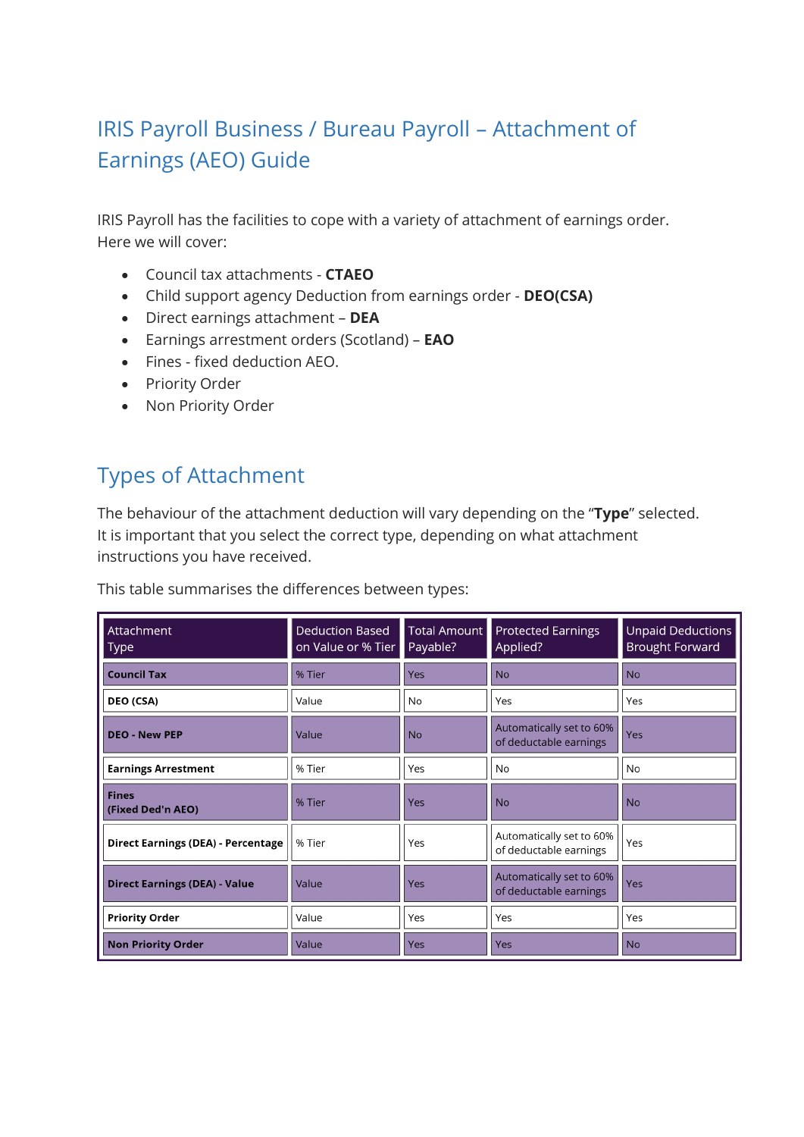# IRIS Payroll Business / Bureau Payroll – Attachment of Earnings (AEO) Guide

IRIS Payroll has the facilities to cope with a variety of attachment of earnings order. Here we will cover:

- Council tax attachments **CTAEO**
- Child support agency Deduction from earnings order **DEO(CSA)**
- Direct earnings attachment **DEA**
- Earnings arrestment orders (Scotland) **EAO**
- Fines fixed deduction AEO.
- Priority Order
- Non Priority Order

# Types of Attachment

The behaviour of the attachment deduction will vary depending on the "**Type**" selected. It is important that you select the correct type, depending on what attachment instructions you have received.

This table summarises the differences between types:

| Attachment<br><b>Type</b>                 | <b>Deduction Based</b><br>on Value or % Tier | Total Amount<br>Payable? | <b>Protected Earnings</b><br>Applied?              | Unpaid Deductions<br><b>Brought Forward</b> |
|-------------------------------------------|----------------------------------------------|--------------------------|----------------------------------------------------|---------------------------------------------|
| <b>Council Tax</b>                        | % Tier                                       | Yes                      | <b>No</b>                                          | <b>No</b>                                   |
| DEO (CSA)                                 | Value                                        | <b>No</b>                | Yes                                                | Yes                                         |
| <b>DEO - New PEP</b>                      | Value                                        | <b>No</b>                | Automatically set to 60%<br>of deductable earnings | Yes                                         |
| <b>Earnings Arrestment</b>                | % Tier                                       | Yes                      | No                                                 | No                                          |
| <b>Fines</b><br>(Fixed Ded'n AEO)         | % Tier                                       | Yes                      | <b>No</b>                                          | <b>No</b>                                   |
| <b>Direct Earnings (DEA) - Percentage</b> | % Tier                                       | Yes                      | Automatically set to 60%<br>of deductable earnings | Yes                                         |
| <b>Direct Earnings (DEA) - Value</b>      | Value                                        | <b>Yes</b>               | Automatically set to 60%<br>of deductable earnings | Yes                                         |
| <b>Priority Order</b>                     | Value                                        | Yes                      | Yes                                                | Yes                                         |
| <b>Non Priority Order</b>                 | Value                                        | Yes                      | Yes                                                | <b>No</b>                                   |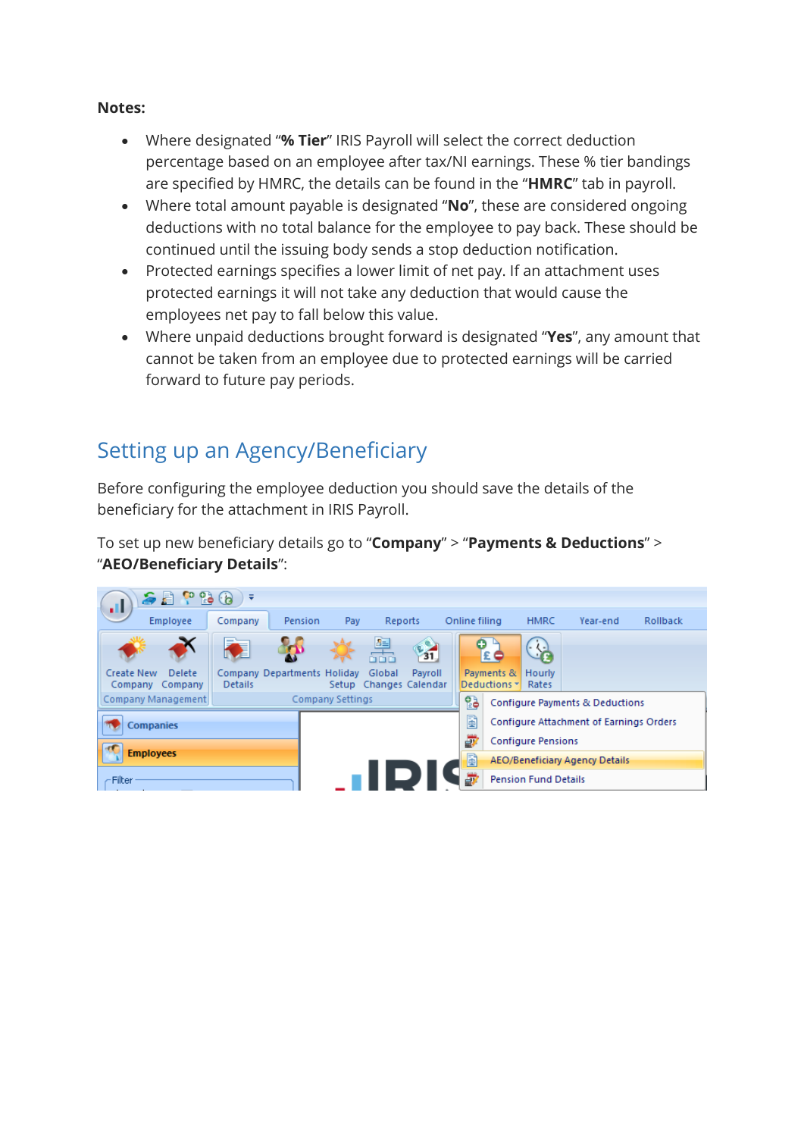#### **Notes:**

- Where designated "**% Tier**" IRIS Payroll will select the correct deduction percentage based on an employee after tax/NI earnings. These % tier bandings are specified by HMRC, the details can be found in the "**HMRC**" tab in payroll.
- Where total amount payable is designated "**No**", these are considered ongoing deductions with no total balance for the employee to pay back. These should be continued until the issuing body sends a stop deduction notification.
- Protected earnings specifies a lower limit of net pay. If an attachment uses protected earnings it will not take any deduction that would cause the employees net pay to fall below this value.
- Where unpaid deductions brought forward is designated "**Yes**", any amount that cannot be taken from an employee due to protected earnings will be carried forward to future pay periods.

# Setting up an Agency/Beneficiary

Before configuring the employee deduction you should save the details of the beneficiary for the attachment in IRIS Payroll.

To set up new beneficiary details go to "**Company**" > "**Payments & Deductions**" > "**AEO/Beneficiary Details**":

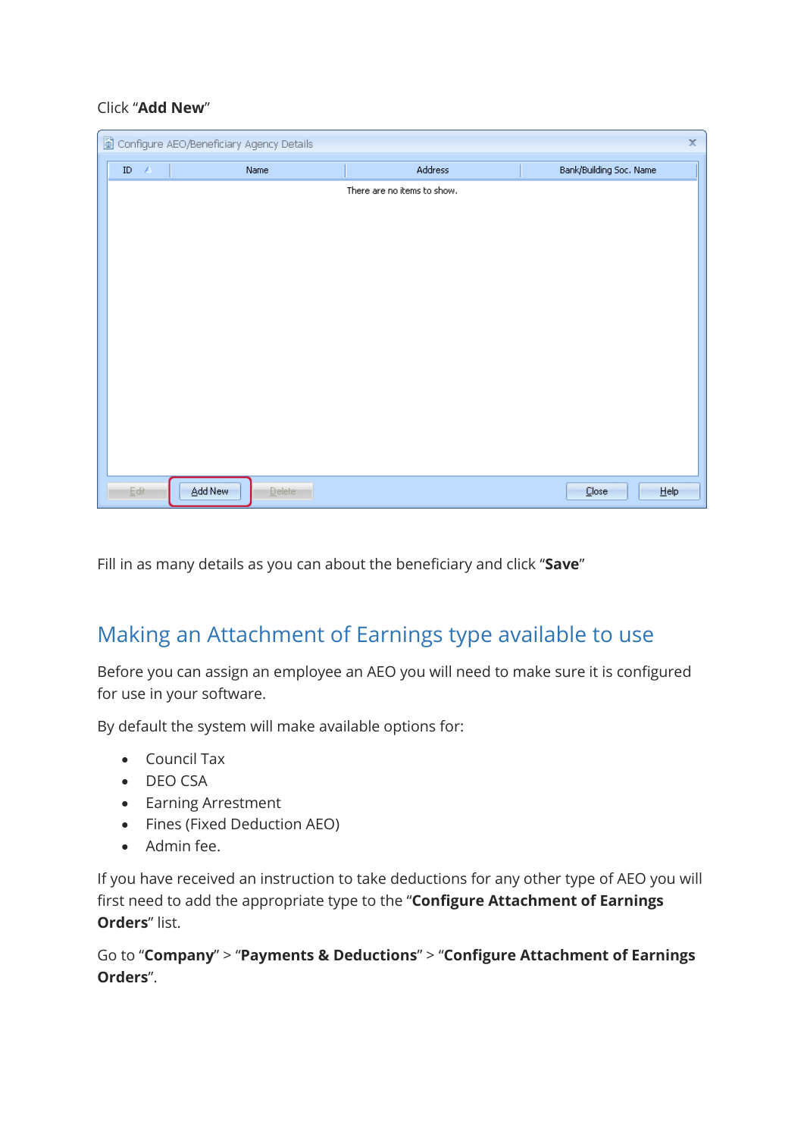#### Click "**Add New**"

|          |                 | Configure AEO/Beneficiary Agency Details |                             | $\mathbf x$             |
|----------|-----------------|------------------------------------------|-----------------------------|-------------------------|
| $\rm ID$ | $\sim$ $\Delta$ | Name                                     | Address                     | Bank/Building Soc. Name |
|          |                 |                                          | There are no items to show. |                         |
|          |                 |                                          |                             |                         |
|          |                 |                                          |                             |                         |
|          |                 |                                          |                             |                         |
|          |                 |                                          |                             |                         |
|          |                 |                                          |                             |                         |
|          |                 |                                          |                             |                         |
|          |                 |                                          |                             |                         |
|          |                 |                                          |                             |                         |
|          |                 |                                          |                             |                         |
|          |                 |                                          |                             |                         |
|          |                 |                                          |                             |                         |
|          |                 |                                          |                             |                         |
|          | Edit            | Add New<br><b>Delete</b>                 |                             | He<br>Close             |

Fill in as many details as you can about the beneficiary and click "**Save**"

## Making an Attachment of Earnings type available to use

Before you can assign an employee an AEO you will need to make sure it is configured for use in your software.

By default the system will make available options for:

- Council Tax
- DEO CSA
- Earning Arrestment
- Fines (Fixed Deduction AEO)
- Admin fee.

If you have received an instruction to take deductions for any other type of AEO you will first need to add the appropriate type to the "**Configure Attachment of Earnings Orders**" list.

Go to "**Company**" > "**Payments & Deductions**" > "**Configure Attachment of Earnings Orders**".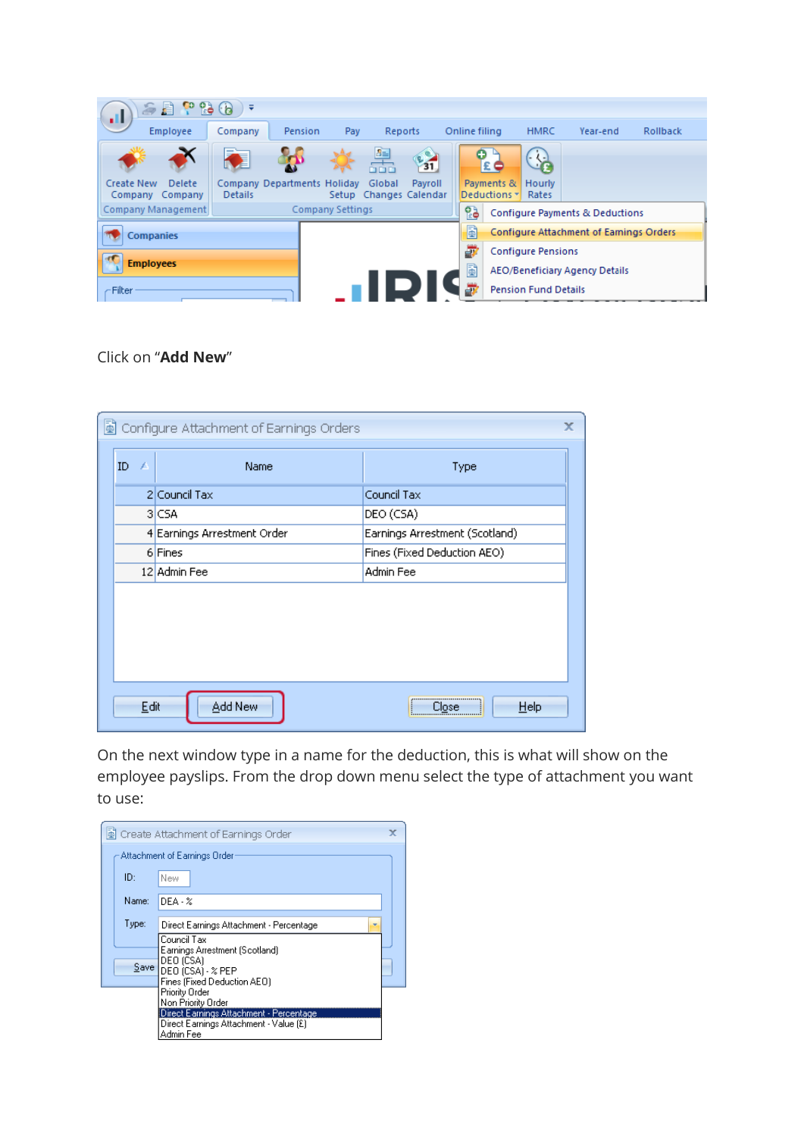| 62 T 2 6<br>d.                                           | ₹                                             |                         |                            |         |   |               |                                       |                             |                                         |                 |
|----------------------------------------------------------|-----------------------------------------------|-------------------------|----------------------------|---------|---|---------------|---------------------------------------|-----------------------------|-----------------------------------------|-----------------|
| Employee                                                 | Company                                       | Pension<br>Pay          |                            | Reports |   | Online filing |                                       | <b>HMRC</b>                 | Year-end                                | <b>Rollback</b> |
|                                                          |                                               |                         | 學<br><b>DIDIDI</b>         | 31      |   | o             | £                                     | Œ                           |                                         |                 |
| <b>Create New</b><br><b>Delete</b><br>Company<br>Company | Company Departments Holiday<br><b>Details</b> | Setup                   | Global<br>Changes Calendar | Pavroll |   |               | Payments &<br>Deductions $\mathbf{v}$ | Hourly<br>Rates             |                                         |                 |
| Company Management                                       |                                               | <b>Company Settings</b> |                            |         |   | 鹘             |                                       |                             | Configure Payments & Deductions         |                 |
| <b>Companies</b>                                         |                                               |                         |                            |         |   | Ð             |                                       |                             | Configure Attachment of Earnings Orders |                 |
|                                                          |                                               |                         |                            |         | ₩ |               | <b>Configure Pensions</b>             |                             |                                         |                 |
| <b>Employees</b>                                         |                                               |                         |                            |         |   | B             |                                       |                             | <b>AEO/Beneficiary Agency Details</b>   |                 |
| Filter                                                   |                                               |                         |                            |         |   | æ             |                                       | <b>Pension Fund Details</b> |                                         |                 |

### Click on "**Add New**"

|                | Configure Attachment of Earnings Orders | x                                                                   |
|----------------|-----------------------------------------|---------------------------------------------------------------------|
| $ID \triangle$ | Name                                    | Type                                                                |
|                | 2 Council Tax                           | Council Tax                                                         |
|                | 3 CSA                                   | DEO (CSA)                                                           |
|                | 4 Earnings Arrestment Order             | Earnings Arrestment (Scotland)                                      |
|                | 6 Fines                                 | Fines (Fixed Deduction AEO)                                         |
|                | 12 Admin Fee                            | Admin Fee                                                           |
|                |                                         |                                                                     |
|                |                                         |                                                                     |
|                |                                         |                                                                     |
|                |                                         |                                                                     |
|                |                                         |                                                                     |
| Edit           | Add New                                 | ,,,,,,,,,,,,,,,,,,,,,,,,,,,,,,,,,<br>Help<br>Close<br>; <del></del> |

On the next window type in a name for the deduction, this is what will show on the employee payslips. From the drop down menu select the type of attachment you want to use:

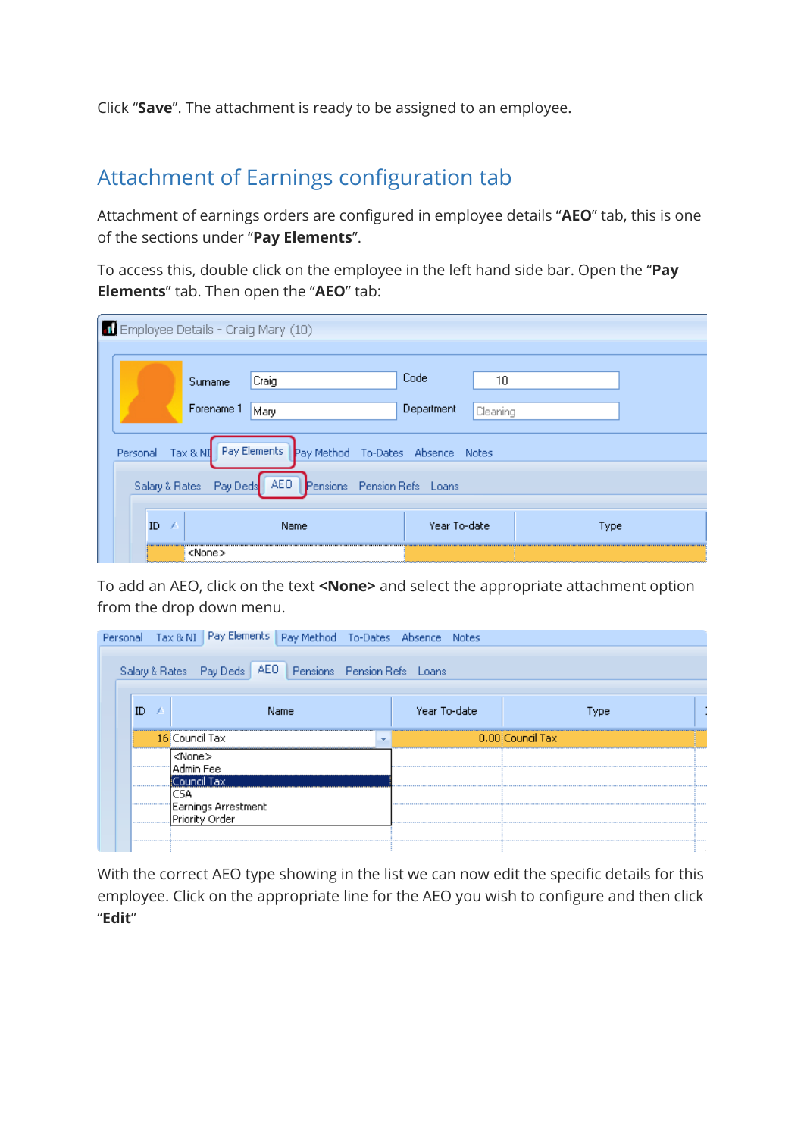Click "**Save**". The attachment is ready to be assigned to an employee.

## Attachment of Earnings configuration tab

Attachment of earnings orders are configured in employee details "**AEO**" tab, this is one of the sections under "**Pay Elements**".

To access this, double click on the employee in the left hand side bar. Open the "**Pay Elements**" tab. Then open the "**AEO**" tab:

| Employee Details - Craig Mary (10)           |                                                                  |                                                   |              |              |      |  |  |  |  |
|----------------------------------------------|------------------------------------------------------------------|---------------------------------------------------|--------------|--------------|------|--|--|--|--|
|                                              |                                                                  |                                                   |              |              |      |  |  |  |  |
|                                              | Surname                                                          | Craig                                             | Code         | 10           |      |  |  |  |  |
| Forename 1<br>Department<br>Mary<br>Cleaning |                                                                  |                                                   |              |              |      |  |  |  |  |
| Personal                                     |                                                                  | Tax & NI Pay Elements Pay Method To-Dates Absence |              | <b>Notes</b> |      |  |  |  |  |
|                                              | AEO<br>Salary & Rates<br>Pay Deds<br>Pensions Pension Refs Loans |                                                   |              |              |      |  |  |  |  |
| ID.<br>1                                     |                                                                  | Name                                              | Year To-date |              | Type |  |  |  |  |
|                                              | <none></none>                                                    |                                                   |              |              |      |  |  |  |  |

To add an AEO, click on the text **<None>** and select the appropriate attachment option from the drop down menu.

|          | Personal Tax & NI Pay Elements Pay Method To-Dates Absence Notes |              |                  |
|----------|------------------------------------------------------------------|--------------|------------------|
|          | Salary & Rates Pay Deds   AEO   Pensions Pension Refs Loans      |              |                  |
| ID       | Name                                                             | Year To-date | <b>VDe</b>       |
|          | 16 Council Tax<br>$\overline{\phantom{a}}$                       |              | 0.00 Council Tax |
|          | <none><br/>Admin Fee<br/>Council Tax</none>                      |              |                  |
| <br><br> | Earnings Arrestment<br>IPriority Order.                          |              |                  |
|          |                                                                  |              |                  |

With the correct AEO type showing in the list we can now edit the specific details for this employee. Click on the appropriate line for the AEO you wish to configure and then click "**Edit**"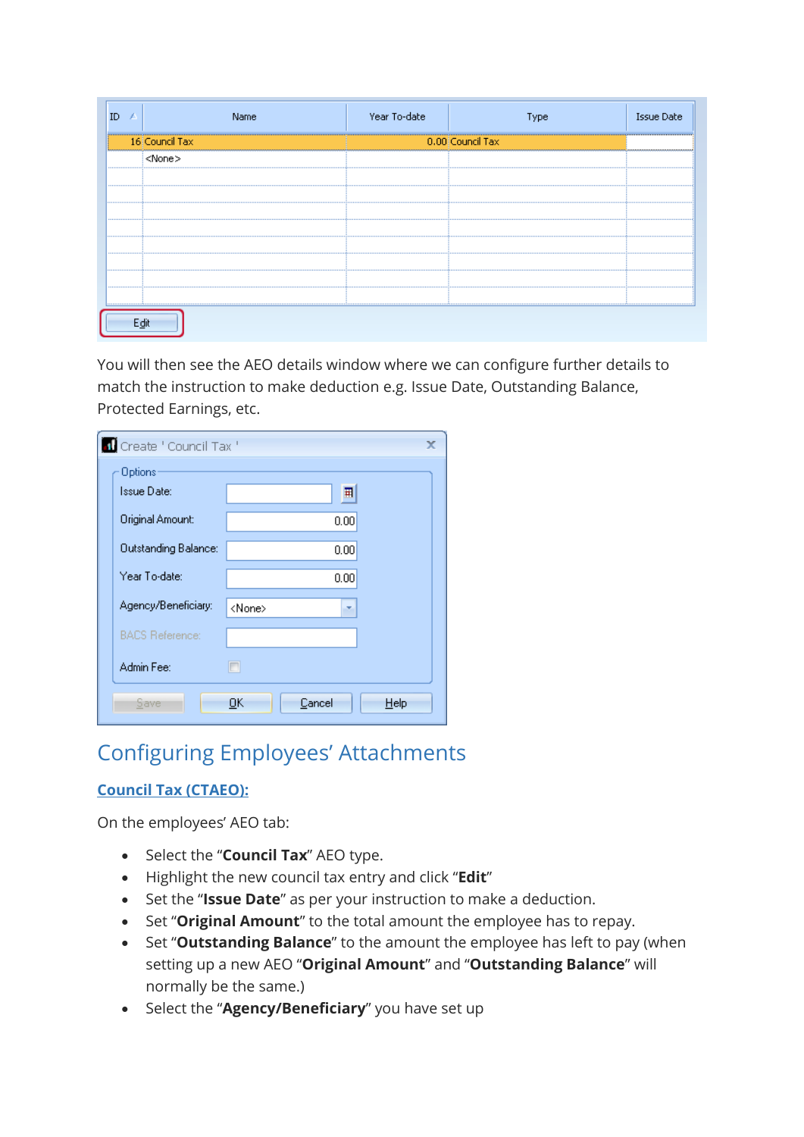| Name           | Year To-date |                  | <b>Issue Date</b> |
|----------------|--------------|------------------|-------------------|
| 16 Council Tax |              | 0.00 Council Tax |                   |
| ≺None>         |              |                  |                   |
|                |              |                  |                   |
|                |              |                  |                   |
|                |              |                  |                   |
|                |              |                  |                   |
|                |              |                  |                   |
|                |              |                  |                   |
|                |              |                  |                   |
|                |              |                  |                   |
|                |              |                  |                   |

You will then see the AEO details window where we can configure further details to match the instruction to make deduction e.g. Issue Date, Outstanding Balance, Protected Earnings, etc.

| Create ' Council Tax '      | x                    |
|-----------------------------|----------------------|
| Options:                    |                      |
| Issue Date:                 | 囲                    |
| Original Amount:            | 0.00                 |
| <b>Outstanding Balance:</b> | 0.00                 |
| Year To-date:               | 0.00                 |
| Agency/Beneficiary:         | <none><br/>×.</none> |
| <b>BACS Reference:</b>      |                      |
| Admin Fee:                  | n                    |
| Save                        | OΚ<br>Cancel<br>Help |

# Configuring Employees' Attachments

## **Council Tax (CTAEO):**

- Select the "**Council Tax**" AEO type.
- Highlight the new council tax entry and click "**Edit**"
- Set the "**Issue Date**" as per your instruction to make a deduction.
- Set "**Original Amount**" to the total amount the employee has to repay.
- Set "**Outstanding Balance**" to the amount the employee has left to pay (when setting up a new AEO "**Original Amount**" and "**Outstanding Balance**" will normally be the same.)
- Select the "Agency/Beneficiary" you have set up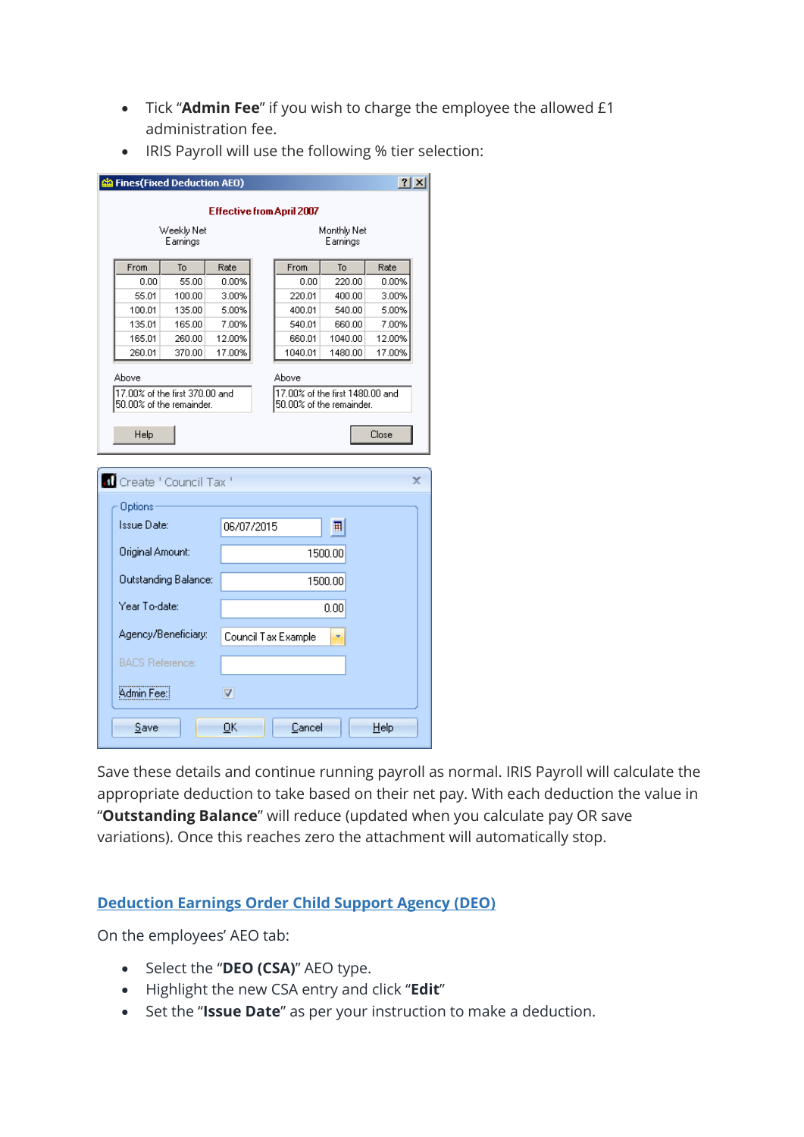- Tick "**Admin Fee**" if you wish to charge the employee the allowed £1 administration fee.
- IRIS Payroll will use the following % tier selection:

| ? X <br><mark>රැ</mark> Fines(Fixed Deduction AEO)         |                             |                 |  |                                                             |                         |        |   |  |
|------------------------------------------------------------|-----------------------------|-----------------|--|-------------------------------------------------------------|-------------------------|--------|---|--|
| Effective from April 2007                                  |                             |                 |  |                                                             |                         |        |   |  |
|                                                            | Weekly Net<br>Earnings      |                 |  |                                                             | Monthly Net<br>Earnings |        |   |  |
| From                                                       | To                          | Rate            |  | From                                                        | <b>To</b>               | Rate   |   |  |
| 0.00                                                       | 55.00                       | 0.00%           |  | 0.00                                                        | 220.00                  | 0.00%  |   |  |
| 55.01                                                      | 100.00                      | 3.00%           |  | 220.01                                                      | 400.00                  | 3.00%  |   |  |
| 100.01                                                     | 135.00                      | 5.00%           |  | 400.01                                                      | 540.00                  | 5.00%  |   |  |
| 135.01                                                     | 165.00                      | 7.00%           |  | 540.01                                                      | 660.00                  | 7.00%  |   |  |
| 165.01                                                     | 260.00                      | 12.00%          |  | 660.01                                                      | 1040.00                 | 12.00% |   |  |
| 260.01                                                     | 370.00                      | 17.00%          |  | 1040.01                                                     | 1480.00                 | 17.00% |   |  |
| Above                                                      |                             |                 |  | Above                                                       |                         |        |   |  |
| 17,00% of the first 370,00 and<br>50.00% of the remainder. |                             |                 |  | 17,00% of the first 1480,00 and<br>50.00% of the remainder. |                         |        |   |  |
|                                                            |                             |                 |  |                                                             |                         |        |   |  |
| Help                                                       |                             |                 |  |                                                             |                         | Close  |   |  |
|                                                            |                             |                 |  |                                                             |                         |        |   |  |
| <b>1</b> Create ' Council Tax '                            |                             |                 |  |                                                             |                         |        | x |  |
|                                                            |                             |                 |  |                                                             |                         |        |   |  |
| Options                                                    |                             |                 |  |                                                             |                         |        |   |  |
| Issue Date:                                                |                             | 06/07/2015      |  |                                                             | 覇                       |        |   |  |
| Original Amount:                                           |                             |                 |  |                                                             | 1500.00                 |        |   |  |
|                                                            |                             |                 |  |                                                             |                         |        |   |  |
|                                                            | <b>Outstanding Balance:</b> |                 |  |                                                             | 1500.00                 |        |   |  |
| Year To-date:                                              |                             |                 |  |                                                             | 0.00                    |        |   |  |
|                                                            | Agency/Beneficiary:         |                 |  | Council Tax Example                                         |                         |        |   |  |
|                                                            |                             |                 |  |                                                             |                         |        |   |  |
| <b>BACS Reference:</b>                                     |                             |                 |  |                                                             |                         |        |   |  |
| Admin Fee:                                                 |                             | $\triangledown$ |  |                                                             |                         |        |   |  |
| Save                                                       |                             | ОK              |  | Cancel                                                      |                         | Help   |   |  |
|                                                            |                             |                 |  |                                                             |                         |        |   |  |

Save these details and continue running payroll as normal. IRIS Payroll will calculate the appropriate deduction to take based on their net pay. With each deduction the value in "**Outstanding Balance**" will reduce (updated when you calculate pay OR save variations). Once this reaches zero the attachment will automatically stop.

#### **Deduction Earnings Order Child Support Agency (DEO)**

- Select the "**DEO (CSA)**" AEO type.
- Highlight the new CSA entry and click "**Edit**"
- Set the "**Issue Date**" as per your instruction to make a deduction.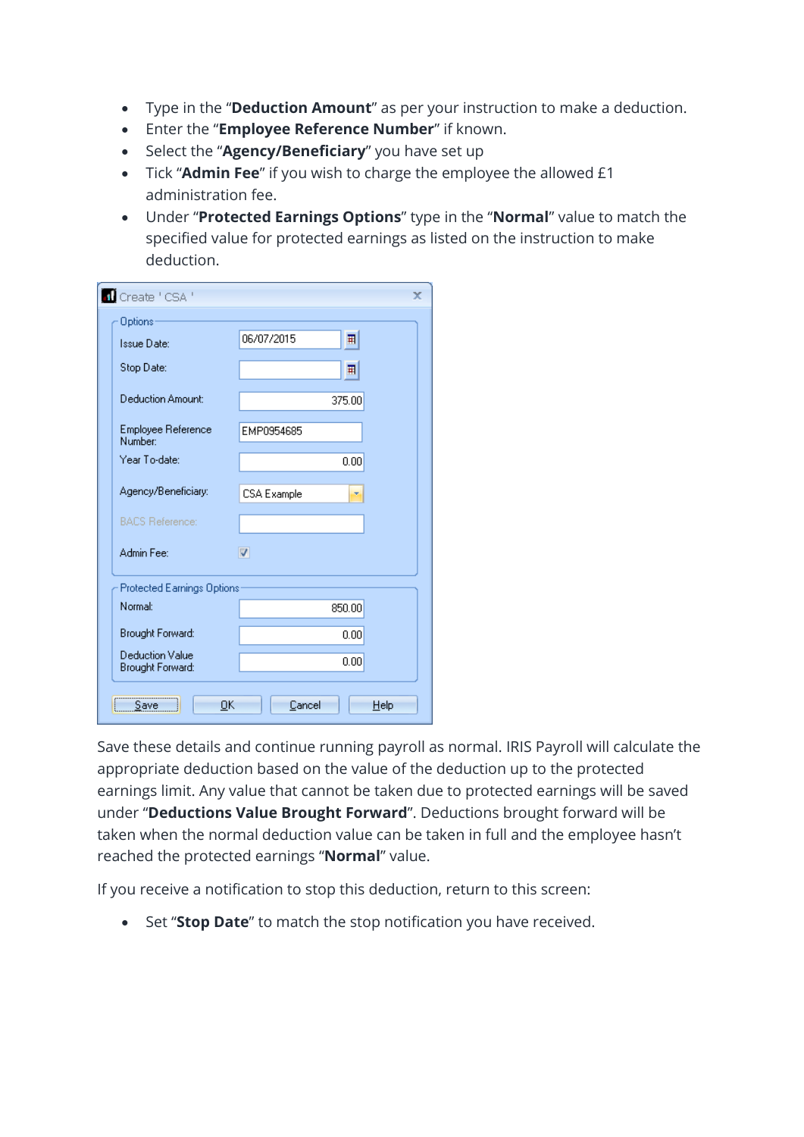- Type in the "**Deduction Amount**" as per your instruction to make a deduction.
- Enter the "**Employee Reference Number**" if known.
- Select the "Agency/Beneficiary" you have set up
- Tick "**Admin Fee**" if you wish to charge the employee the allowed £1 administration fee.
- Under "**Protected Earnings Options**" type in the "**Normal**" value to match the specified value for protected earnings as listed on the instruction to make deduction.

| Create ' CSA '                             | x                  |
|--------------------------------------------|--------------------|
| Options                                    |                    |
| Issue Date:                                | 06/07/2015<br>耳    |
| Stop Date:                                 | 囲                  |
| Deduction Amount:                          | 375.00             |
| Employee Reference<br><b>Number:</b>       | EMP0954685         |
| Year To-date:                              | 0.00               |
| Agency/Beneficiary:                        | <b>CSA Example</b> |
| <b>BACS Reference:</b>                     |                    |
| Admin Fee:                                 | $\triangledown$    |
| <b>Protected Earnings Options</b>          |                    |
| Normal:                                    | 850.00             |
| <b>Brought Forward:</b>                    | 0.00               |
| <b>Deduction Value</b><br>Brought Forward: | 0.00               |
| ОK<br>Save                                 | Cancel<br>Help     |

Save these details and continue running payroll as normal. IRIS Payroll will calculate the appropriate deduction based on the value of the deduction up to the protected earnings limit. Any value that cannot be taken due to protected earnings will be saved under "**Deductions Value Brought Forward**". Deductions brought forward will be taken when the normal deduction value can be taken in full and the employee hasn't reached the protected earnings "**Normal**" value.

If you receive a notification to stop this deduction, return to this screen:

Set "**Stop Date**" to match the stop notification you have received.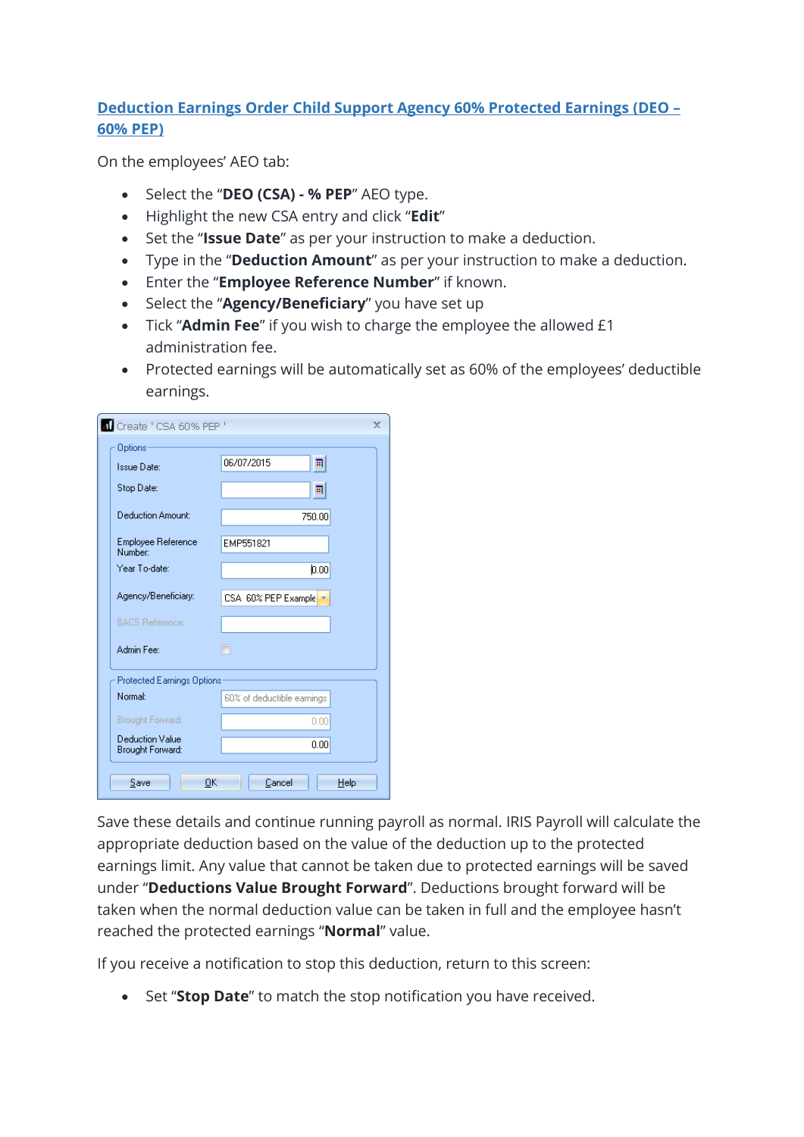### **Deduction Earnings Order Child Support Agency 60% Protected Earnings (DEO – 60% PEP)**

On the employees' AEO tab:

- Select the "**DEO (CSA) - % PEP**" AEO type.
- Highlight the new CSA entry and click "**Edit**"
- Set the "**Issue Date**" as per your instruction to make a deduction.
- Type in the "**Deduction Amount**" as per your instruction to make a deduction.
- Enter the "**Employee Reference Number**" if known.
- Select the "**Agency/Beneficiary**" you have set up
- Tick "**Admin Fee**" if you wish to charge the employee the allowed £1 administration fee.
- Protected earnings will be automatically set as 60% of the employees' deductible earnings.

| T Create ' CSA 60% PEP '                          | x                          |
|---------------------------------------------------|----------------------------|
| Options                                           |                            |
| Issue Date:                                       | 06/07/2015<br>耳            |
| Stop Date:                                        | 囲                          |
| Deduction Amount:                                 | 750.00                     |
| <b>Employee Reference</b><br>Number:              | EMP551821                  |
| Year To-date:                                     | 0.00                       |
| Agency/Beneficiary:                               | CSA 60% PEP Example        |
| <b>BACS Reference:</b>                            |                            |
| Admin Fee:                                        | П                          |
| Protected Earnings Options                        |                            |
| Normal:                                           | 60% of deductible earnings |
| <b>Brought Forward:</b>                           | 0.00                       |
| <b>Deduction Value</b><br><b>Brought Forward:</b> | 0.00                       |
| OK<br>Save                                        | Cancel<br>Help             |

Save these details and continue running payroll as normal. IRIS Payroll will calculate the appropriate deduction based on the value of the deduction up to the protected earnings limit. Any value that cannot be taken due to protected earnings will be saved under "**Deductions Value Brought Forward**". Deductions brought forward will be taken when the normal deduction value can be taken in full and the employee hasn't reached the protected earnings "**Normal**" value.

If you receive a notification to stop this deduction, return to this screen:

Set "**Stop Date**" to match the stop notification you have received.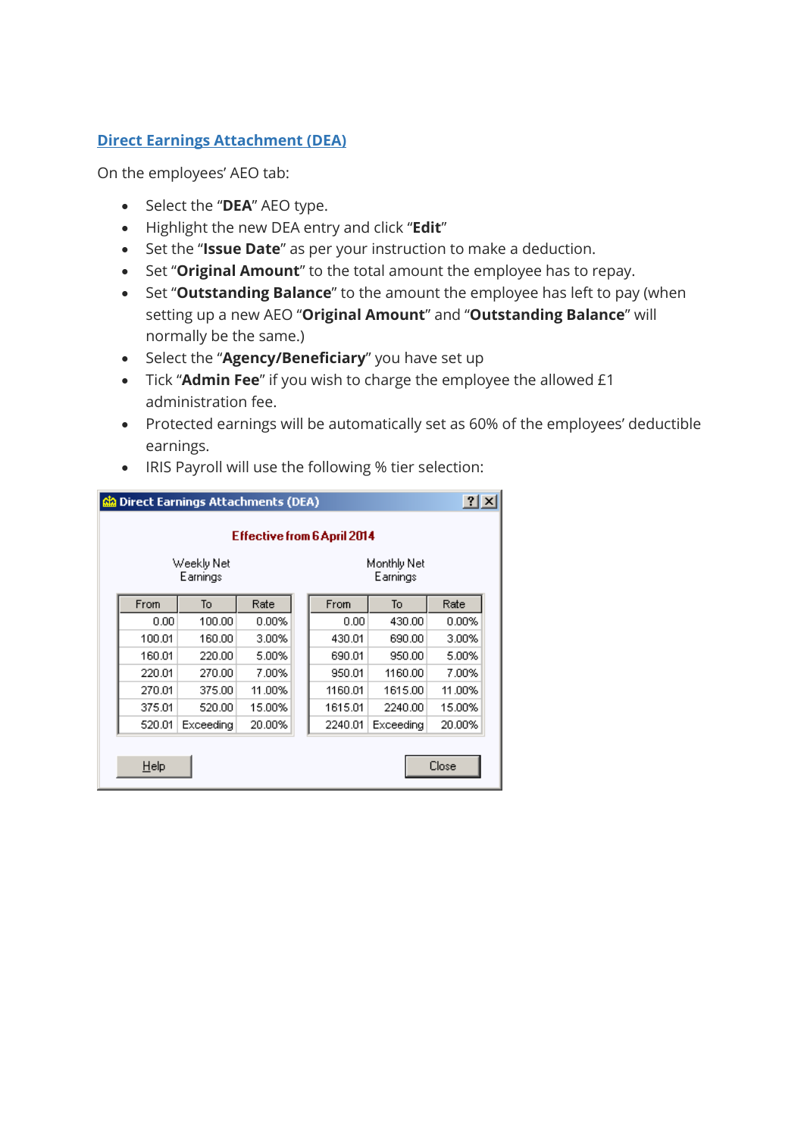### **Direct Earnings Attachment (DEA)**

- Select the "**DEA**" AEO type.
- Highlight the new DEA entry and click "**Edit**"
- Set the "**Issue Date**" as per your instruction to make a deduction.
- Set "**Original Amount**" to the total amount the employee has to repay.
- Set "**Outstanding Balance**" to the amount the employee has left to pay (when setting up a new AEO "**Original Amount**" and "**Outstanding Balance**" will normally be the same.)
- Select the "Agency/Beneficiary" you have set up
- Tick "**Admin Fee**" if you wish to charge the employee the allowed £1 administration fee.
- Protected earnings will be automatically set as 60% of the employees' deductible earnings.
- IRIS Payroll will use the following % tier selection:

|                        | Direct Earnings Attachments (DEA) |           |          |  |         |                         |          | ? x |  |  |
|------------------------|-----------------------------------|-----------|----------|--|---------|-------------------------|----------|-----|--|--|
|                        | Effective from 6 April 2014       |           |          |  |         |                         |          |     |  |  |
| Weekly Net<br>Earnings |                                   |           |          |  |         | Monthly Net<br>Earnings |          |     |  |  |
|                        | From                              | To        | Rate     |  | From    | To                      | Rate     |     |  |  |
|                        | 0.00                              | 100.00    | $0.00\%$ |  | 0.00    | 430.00                  | $0.00\%$ |     |  |  |
|                        | 100.01                            | 160.00    | 3.00%    |  | 430.01  | 690.00                  | 3.00%    |     |  |  |
|                        | 160.01                            | 220.00    | 5.00%    |  | 690.01  | 950.00                  | 5.00%    |     |  |  |
|                        | 220.01                            | 270.00    | 7.00%    |  | 950.01  | 1160.00                 | 7.00%    |     |  |  |
|                        | 270.01                            | 375.00    | 11.00%   |  | 1160.01 | 1615.00                 | 11.00%   |     |  |  |
|                        | 375.01                            | 520.00    | 15.00%   |  | 1615.01 | 2240.00                 | 15.00%   |     |  |  |
|                        | 520.01                            | Exceeding | 20.00%   |  | 2240.01 | Exceeding               | 20.00%   |     |  |  |
|                        | Close<br>Help                     |           |          |  |         |                         |          |     |  |  |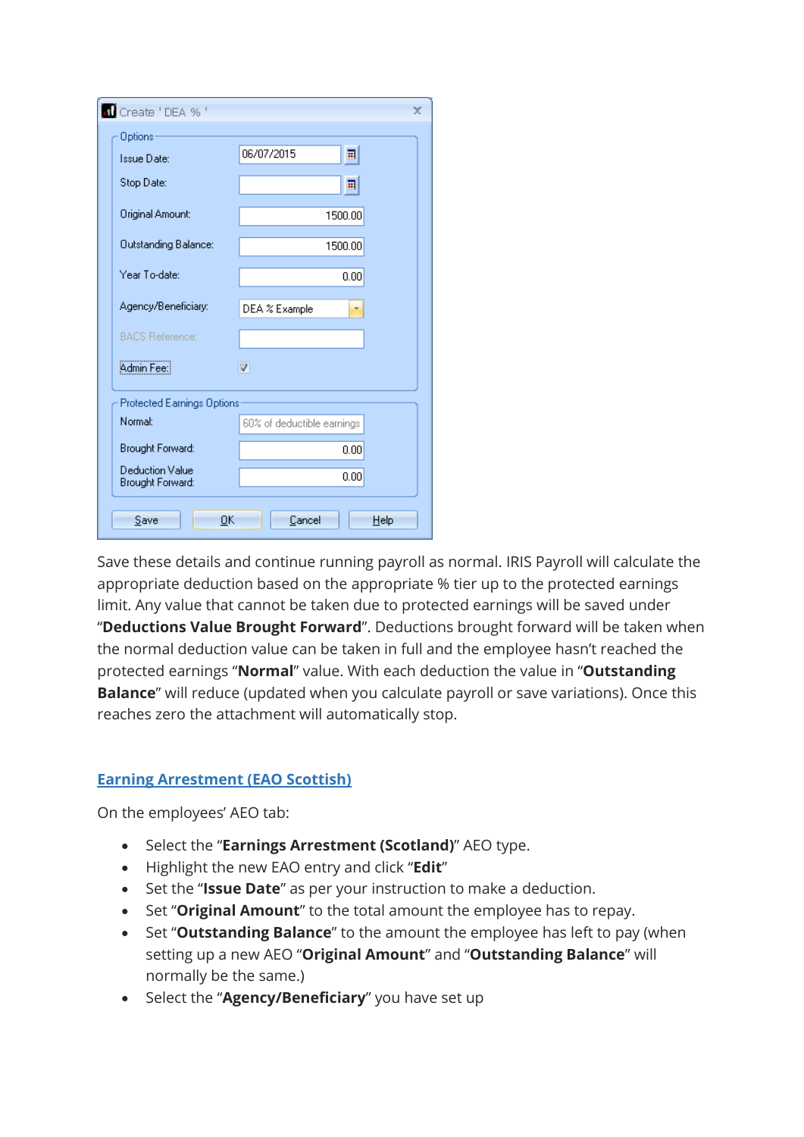| Create 'DEA % '                            | x                          |
|--------------------------------------------|----------------------------|
| Options                                    |                            |
| Issue Date:                                | 06/07/2015<br>囲            |
| Stop Date:                                 | 囲                          |
| Original Amount:                           | 1500.00                    |
| Outstanding Balance:                       | 1500.00                    |
| Year To-date:                              | 0.00                       |
| Agency/Beneficiary:                        | DEA % Example              |
| <b>BACS Reference:</b>                     |                            |
| Admin Fee:                                 | $\triangledown$            |
| <b>Protected Earnings Options</b>          |                            |
| Normal:                                    | 60% of deductible earnings |
| Brought Forward:                           | 0.00                       |
| <b>Deduction Value</b><br>Brought Forward: | 0.00                       |
| ОK<br>Save                                 | Cancel<br>Help             |

Save these details and continue running payroll as normal. IRIS Payroll will calculate the appropriate deduction based on the appropriate % tier up to the protected earnings limit. Any value that cannot be taken due to protected earnings will be saved under "**Deductions Value Brought Forward**". Deductions brought forward will be taken when the normal deduction value can be taken in full and the employee hasn't reached the protected earnings "**Normal**" value. With each deduction the value in "**Outstanding Balance**" will reduce (updated when you calculate payroll or save variations). Once this reaches zero the attachment will automatically stop.

### **Earning Arrestment (EAO Scottish)**

- Select the "**Earnings Arrestment (Scotland)**" AEO type.
- Highlight the new EAO entry and click "**Edit**"
- Set the "**Issue Date**" as per your instruction to make a deduction.
- Set "**Original Amount**" to the total amount the employee has to repay.
- Set "**Outstanding Balance**" to the amount the employee has left to pay (when setting up a new AEO "**Original Amount**" and "**Outstanding Balance**" will normally be the same.)
- Select the "Agency/Beneficiary" you have set up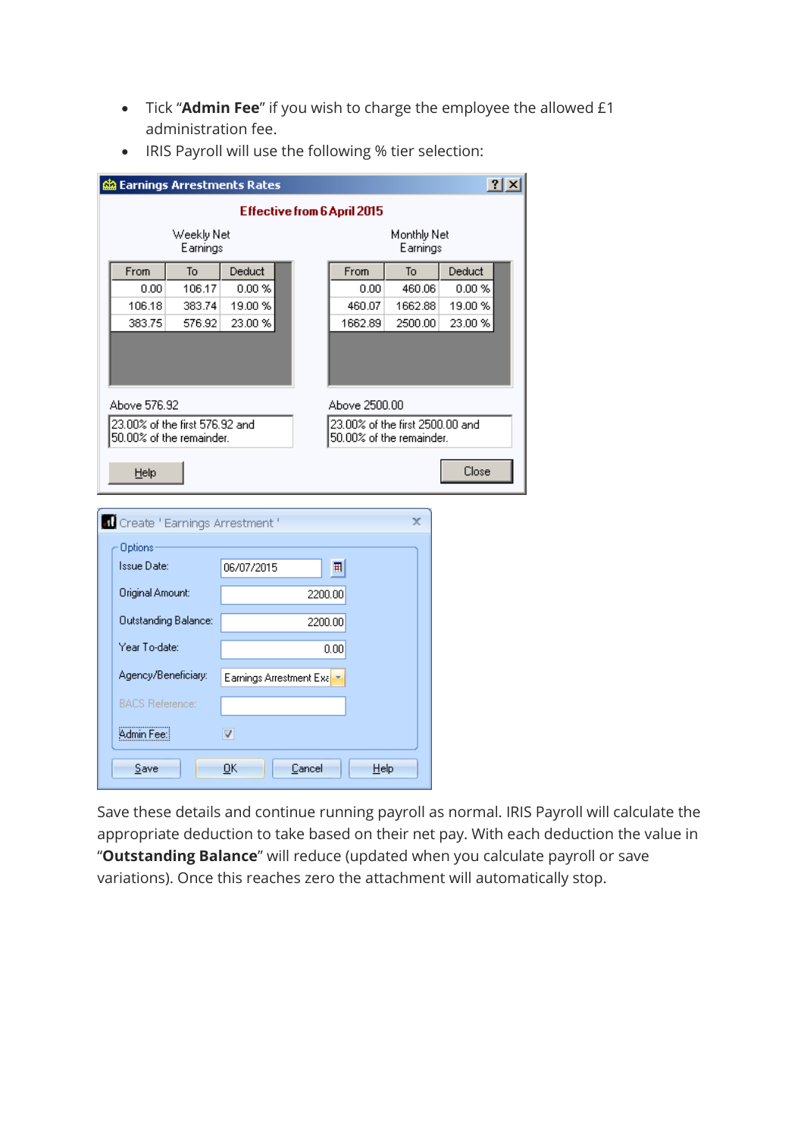Tick "**Admin Fee**" if you wish to charge the employee the allowed £1 administration fee.

|                                |                             | <mark>රැ</mark> ඹ Earnings Arrestments Rates |         |                                 |                         | ? x     |  |
|--------------------------------|-----------------------------|----------------------------------------------|---------|---------------------------------|-------------------------|---------|--|
|                                |                             |                                              |         | Effective from 6 April 2015     |                         |         |  |
|                                | Weekly Net<br>Earnings      |                                              |         |                                 | Monthly Net<br>Earnings |         |  |
| From                           | T <sub>o</sub>              | Deduct                                       |         | From                            | To                      | Deduct  |  |
| 0.00                           | 106.17                      | 0.00%                                        |         | 0.00                            | 460.06                  | 0.00 %  |  |
| 106.18                         | 383.74                      | 19.00 %                                      |         | 460.07                          | 1662.88                 | 19.00 % |  |
| 383.75                         | 576.92                      | 23.00 %                                      |         | 1662.89                         | 2500.00                 | 23.00 % |  |
|                                |                             |                                              |         |                                 |                         |         |  |
| Above 576.92                   |                             |                                              |         | Above 2500.00                   |                         |         |  |
| 23.00% of the first 576.92 and |                             |                                              |         | 23.00% of the first 2500.00 and |                         |         |  |
| 50.00% of the remainder.       |                             |                                              |         | 50.00% of the remainder.        |                         |         |  |
| Help                           |                             |                                              |         |                                 |                         | Close   |  |
|                                |                             | <b>1</b> Create ' Earnings Arrestment '      |         |                                 | x                       |         |  |
| Options <sup>®</sup>           |                             |                                              |         |                                 |                         |         |  |
| Issue Date:                    |                             | 06/07/2015                                   |         | 囲                               |                         |         |  |
| Original Amount:               |                             |                                              | 2200.00 |                                 |                         |         |  |
|                                | <b>Outstanding Balance:</b> |                                              | 2200.00 |                                 |                         |         |  |
| Year To-date:                  |                             |                                              |         | 0.00                            |                         |         |  |
| Agency/Beneficiary:            |                             | Earnings Arrestment Exalt                    |         |                                 |                         |         |  |
| <b>BACS Reference:</b>         |                             |                                              |         |                                 |                         |         |  |
| Admin Fee:                     |                             | $\overline{\mathbf{v}}$                      |         |                                 |                         |         |  |
| Save                           |                             | QK                                           | Cancel  | Help                            |                         |         |  |

• IRIS Payroll will use the following % tier selection:

Save these details and continue running payroll as normal. IRIS Payroll will calculate the appropriate deduction to take based on their net pay. With each deduction the value in "**Outstanding Balance**" will reduce (updated when you calculate payroll or save variations). Once this reaches zero the attachment will automatically stop.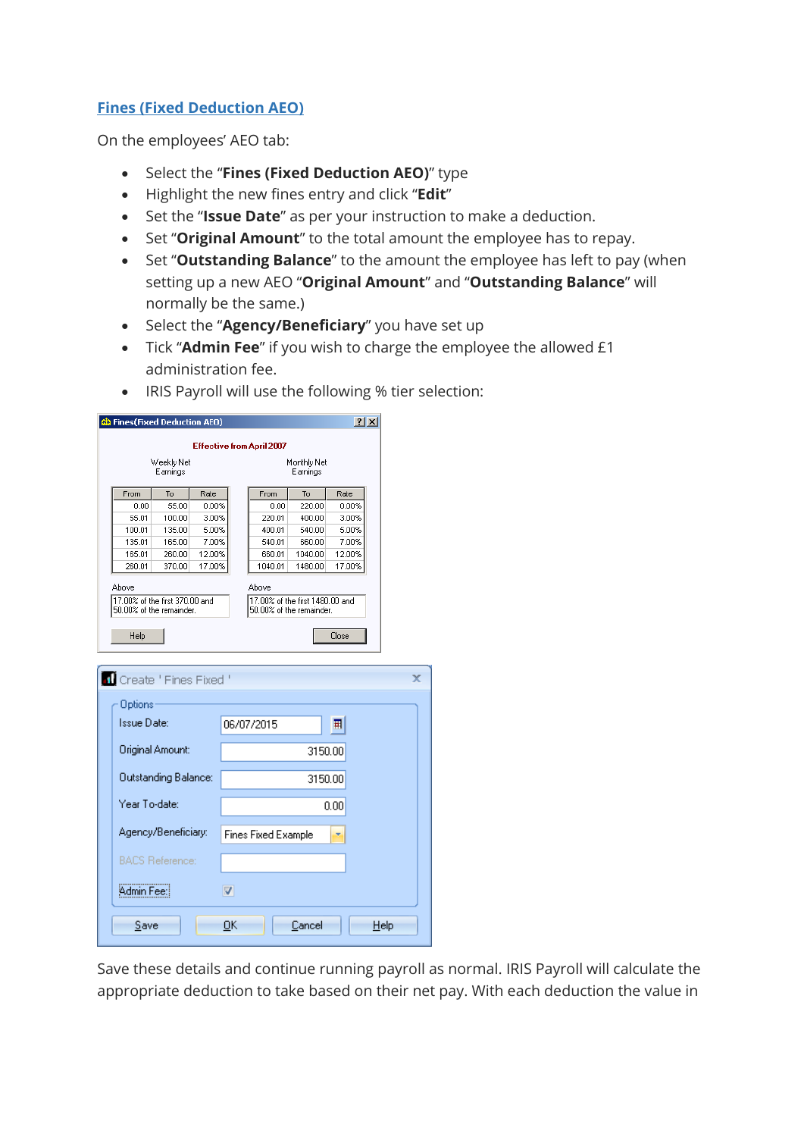### **Fines (Fixed Deduction AEO)**

On the employees' AEO tab:

- Select the "**Fines (Fixed Deduction AEO)**" type
- Highlight the new fines entry and click "**Edit**"
- Set the "**Issue Date**" as per your instruction to make a deduction.
- Set "**Original Amount**" to the total amount the employee has to repay.
- Set "**Outstanding Balance**" to the amount the employee has left to pay (when setting up a new AEO "**Original Amount**" and "**Outstanding Balance**" will normally be the same.)
- Select the "**Agency/Beneficiary**" you have set up
- Tick "**Admin Fee**" if you wish to charge the employee the allowed £1 administration fee.
- IRIS Payroll will use the following % tier selection:

| <mark>င</mark> ်း Fines(Fixed Deduction AEO)               |                        |                 |    |                                 |                          | $ ?  \times$    |      |  |
|------------------------------------------------------------|------------------------|-----------------|----|---------------------------------|--------------------------|-----------------|------|--|
| <b>Effective from April 2007</b>                           |                        |                 |    |                                 |                          |                 |      |  |
|                                                            | Weekly Net<br>Earnings |                 |    |                                 | Monthly Net<br>Earnings  |                 |      |  |
| From                                                       | To                     | Rate            |    | From                            | To                       | Rate            |      |  |
| 0.00                                                       | 55.00                  | 0.00%           |    | 0.00                            | 220.00                   | 0.00%           |      |  |
| 55.01                                                      | 100.00                 | 3.00%           |    | 220.01                          | 400.00                   | 3.00%           |      |  |
| 100.01                                                     | 135.00                 | 5.00%           |    | 400.01                          | 540.00                   | 5.00%           |      |  |
| 135.01<br>165.01                                           | 165.00<br>260.00       | 7.00%<br>12.00% |    | 540.01<br>660.01                | 660.00<br>1040.00        | 7.00%<br>12.00% |      |  |
| 260.01                                                     | 370.00                 | 17.00%          |    | 1040.01                         | 1480.00                  | 17.00%          |      |  |
|                                                            |                        |                 |    |                                 |                          |                 |      |  |
| Above                                                      |                        |                 |    | Above                           |                          |                 |      |  |
| 17.00% of the first 370.00 and<br>50.00% of the remainder. |                        |                 |    | 17,00% of the first 1480,00 and | 50.00% of the remainder. |                 |      |  |
|                                                            |                        |                 |    |                                 |                          |                 |      |  |
| Help                                                       |                        |                 |    |                                 |                          | Close           |      |  |
|                                                            |                        |                 |    |                                 |                          |                 |      |  |
| Create 'Fines Fixed '                                      |                        |                 |    |                                 |                          |                 |      |  |
| Options                                                    |                        |                 |    |                                 |                          |                 |      |  |
| Issue Date:                                                |                        |                 |    | 06/07/2015                      |                          | 囲               |      |  |
|                                                            |                        |                 |    |                                 |                          |                 |      |  |
|                                                            | Original Amount:       |                 |    |                                 | 3150.00                  |                 |      |  |
|                                                            |                        |                 |    |                                 |                          |                 |      |  |
|                                                            | Outstanding Balance:   |                 |    |                                 | 3150.00                  |                 |      |  |
| Year To-date:                                              |                        |                 |    |                                 |                          | 0.00            |      |  |
|                                                            |                        |                 |    |                                 |                          |                 |      |  |
|                                                            | Agency/Beneficiary:    |                 |    | <b>Fines Fixed Example</b>      |                          |                 |      |  |
|                                                            |                        |                 |    |                                 |                          |                 |      |  |
|                                                            | <b>BACS Reference:</b> |                 |    |                                 |                          |                 |      |  |
| Admin Fee:                                                 |                        |                 | V  |                                 |                          |                 |      |  |
| Save                                                       |                        |                 | OK |                                 | Cancel                   |                 | Help |  |
|                                                            |                        |                 |    |                                 |                          |                 |      |  |

Save these details and continue running payroll as normal. IRIS Payroll will calculate the appropriate deduction to take based on their net pay. With each deduction the value in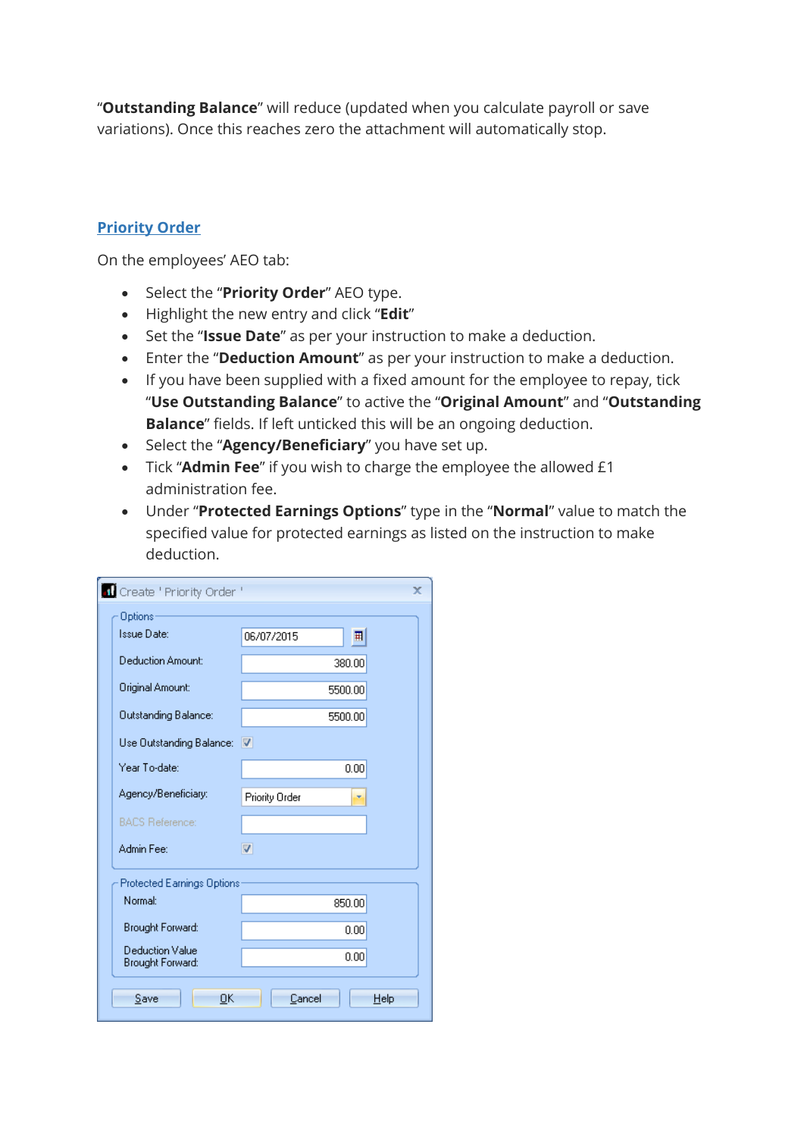"**Outstanding Balance**" will reduce (updated when you calculate payroll or save variations). Once this reaches zero the attachment will automatically stop.

### **Priority Order**

- Select the "**Priority Order**" AEO type.
- Highlight the new entry and click "**Edit**"
- Set the "**Issue Date**" as per your instruction to make a deduction.
- Enter the "**Deduction Amount**" as per your instruction to make a deduction.
- If you have been supplied with a fixed amount for the employee to repay, tick "**Use Outstanding Balance**" to active the "**Original Amount**" and "**Outstanding Balance**" fields. If left unticked this will be an ongoing deduction.
- Select the "Agency/Beneficiary" you have set up.
- Tick "**Admin Fee**" if you wish to charge the employee the allowed £1 administration fee.
- Under "**Protected Earnings Options**" type in the "**Normal**" value to match the specified value for protected earnings as listed on the instruction to make deduction.

| Create ' Priority Order '           |                       | x    |  |  |
|-------------------------------------|-----------------------|------|--|--|
| Options                             |                       |      |  |  |
| Issue Date:                         | 06/07/2015<br>囲       |      |  |  |
| Deduction Amount:                   | 380.00                |      |  |  |
| Original Amount:                    | 5500.00               |      |  |  |
| <b>Outstanding Balance:</b>         | 5500.00               |      |  |  |
| Use Outstanding Balance: V          |                       |      |  |  |
| Year To-date:                       | 0.00                  |      |  |  |
| Agency/Beneficiary:                 | <b>Priority Order</b> |      |  |  |
| <b>BACS Reference:</b>              |                       |      |  |  |
| Admin Fee:                          | V                     |      |  |  |
| <b>Protected Earnings Options</b>   |                       |      |  |  |
| <b>Normal:</b>                      | 850.00                |      |  |  |
| Brought Forward:                    | 0.00                  |      |  |  |
| Deduction Value<br>Brought Forward: | 0.00                  |      |  |  |
| ОK<br>Save                          | Cancel                | Help |  |  |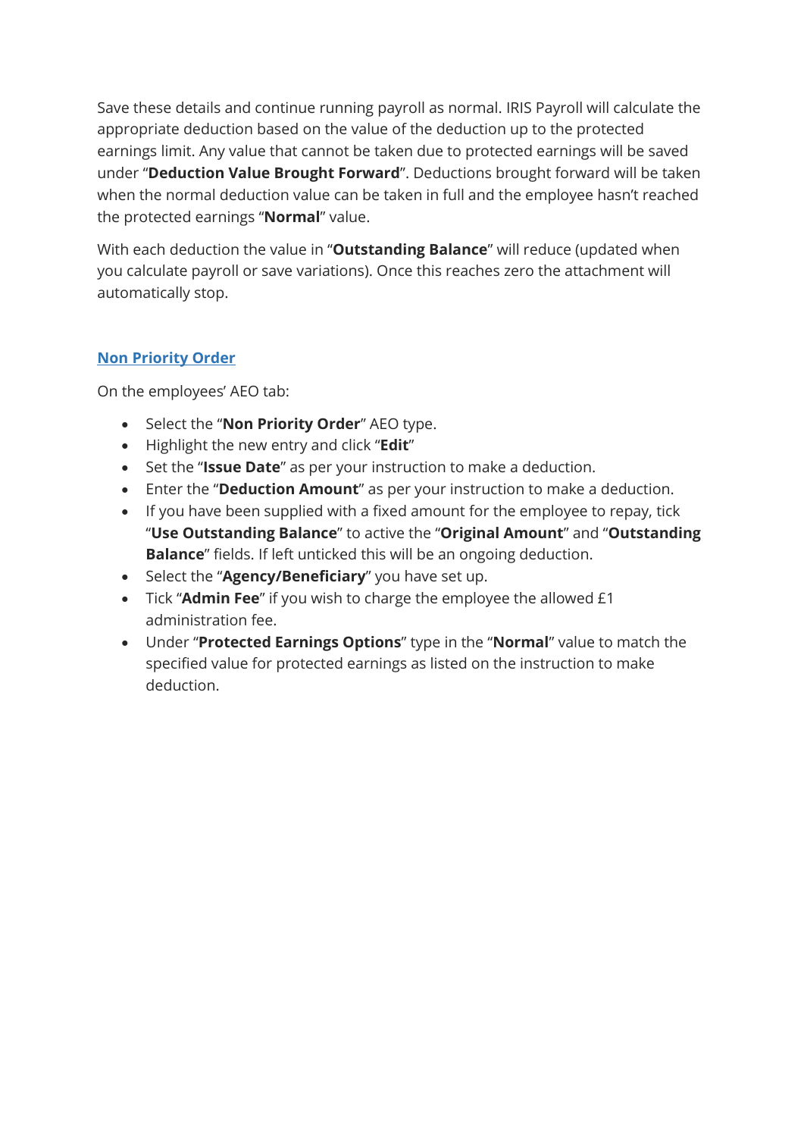Save these details and continue running payroll as normal. IRIS Payroll will calculate the appropriate deduction based on the value of the deduction up to the protected earnings limit. Any value that cannot be taken due to protected earnings will be saved under "**Deduction Value Brought Forward**". Deductions brought forward will be taken when the normal deduction value can be taken in full and the employee hasn't reached the protected earnings "**Normal**" value.

With each deduction the value in "**Outstanding Balance**" will reduce (updated when you calculate payroll or save variations). Once this reaches zero the attachment will automatically stop.

### **Non Priority Order**

- Select the "**Non Priority Order**" AEO type.
- Highlight the new entry and click "**Edit**"
- Set the "**Issue Date**" as per your instruction to make a deduction.
- Enter the "**Deduction Amount**" as per your instruction to make a deduction.
- If you have been supplied with a fixed amount for the employee to repay, tick "**Use Outstanding Balance**" to active the "**Original Amount**" and "**Outstanding Balance**" fields. If left unticked this will be an ongoing deduction.
- Select the "**Agency/Beneficiary**" you have set up.
- Tick "**Admin Fee**" if you wish to charge the employee the allowed £1 administration fee.
- Under "**Protected Earnings Options**" type in the "**Normal**" value to match the specified value for protected earnings as listed on the instruction to make deduction.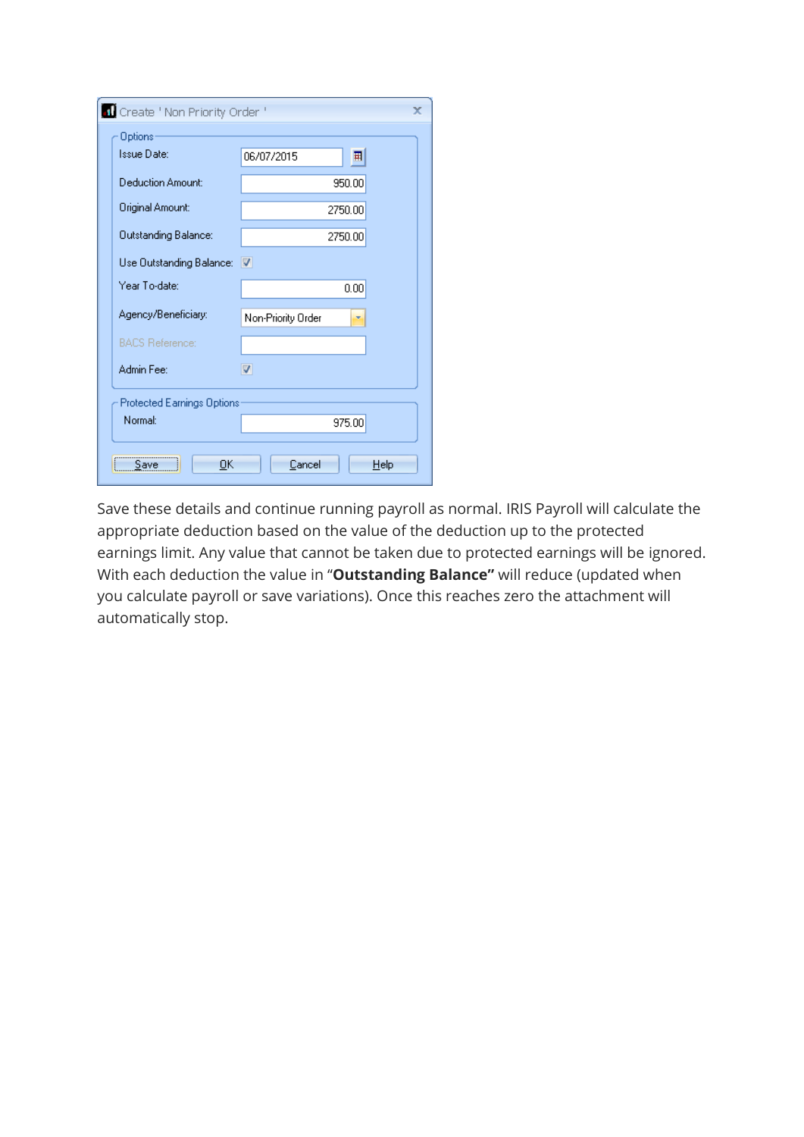| Create ' Non Priority Order ' |                    | x                       |
|-------------------------------|--------------------|-------------------------|
| Options                       |                    |                         |
| Issue Date:                   | 06/07/2015         | 囲                       |
| Deduction Amount:             |                    | 950.00                  |
| Original Amount:              |                    | 2750.00                 |
| <b>Outstanding Balance:</b>   |                    | 2750.00                 |
| Use Outstanding Balance: V    |                    |                         |
| Year To-date:                 |                    | 0.00                    |
| Agency/Beneficiary:           | Non-Priority Order | $\overline{\mathbf{x}}$ |
| <b>BACS Reference:</b>        |                    |                         |
| Admin Fee:                    | ☑                  |                         |
| Protected Earnings Options    |                    |                         |
| Normal:                       |                    | 975.00                  |
| ΟK<br>Save                    | Cancel             | Help                    |

Save these details and continue running payroll as normal. IRIS Payroll will calculate the appropriate deduction based on the value of the deduction up to the protected earnings limit. Any value that cannot be taken due to protected earnings will be ignored. With each deduction the value in "**Outstanding Balance"** will reduce (updated when you calculate payroll or save variations). Once this reaches zero the attachment will automatically stop.